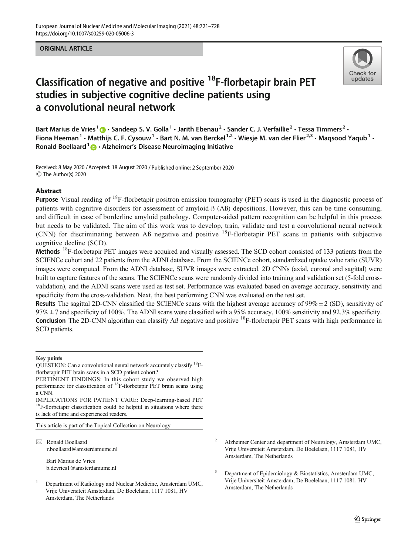## ORIGINAL ARTICLE



# Classification of negative and positive <sup>18</sup>F-florbetapir brain PET studies in subjective cognitive decline patients using a convolutional neural network

Bart Marius de Vries<sup>1</sup>  $\cdot$  Sandeep S. V. Golla<sup>1</sup> · Jarith Ebenau<sup>2</sup> · Sander C. J. Verfaillie<sup>2</sup> · Tessa Timmers<sup>2</sup> · Fiona Heeman<sup>1</sup> • Matthijs C. F. Cysouw<sup>1</sup> • Bart N. M. van Berckel<sup>1,2</sup> • Wiesje M. van der Flier<sup>2,3</sup> • Magsood Yaqub<sup>1</sup> • Ronald Boellaard  $1 \oplus \cdot$  Alzheimer's Disease Neuroimaging Initiative

Received: 8 May 2020 /Accepted: 18 August 2020 / Published online: 2 September 2020  $\circledcirc$  The Author(s) 2020

## Abstract

Purpose Visual reading of <sup>18</sup>F-florbetapir positron emission tomography (PET) scans is used in the diagnostic process of patients with cognitive disorders for assessment of amyloid-ß (Aß) depositions. However, this can be time-consuming, and difficult in case of borderline amyloid pathology. Computer-aided pattern recognition can be helpful in this process but needs to be validated. The aim of this work was to develop, train, validate and test a convolutional neural network (CNN) for discriminating between Aß negative and positive 18F-florbetapir PET scans in patients with subjective cognitive decline (SCD).

Methods <sup>18</sup>F-florbetapir PET images were acquired and visually assessed. The SCD cohort consisted of 133 patients from the SCIENCe cohort and 22 patients from the ADNI database. From the SCIENCe cohort, standardized uptake value ratio (SUVR) images were computed. From the ADNI database, SUVR images were extracted. 2D CNNs (axial, coronal and sagittal) were built to capture features of the scans. The SCIENCe scans were randomly divided into training and validation set (5-fold crossvalidation), and the ADNI scans were used as test set. Performance was evaluated based on average accuracy, sensitivity and specificity from the cross-validation. Next, the best performing CNN was evaluated on the test set.

**Results** The sagittal 2D-CNN classified the SCIENCe scans with the highest average accuracy of  $99\% \pm 2$  (SD), sensitivity of  $97\% \pm 7$  and specificity of 100%. The ADNI scans were classified with a 95% accuracy, 100% sensitivity and 92.3% specificity. Conclusion The 2D-CNN algorithm can classify Aß negative and positive <sup>18</sup>F-florbetapir PET scans with high performance in SCD patients.

#### Key points

PERTINENT FINDINGS: In this cohort study we observed high performance for classification of 18F-florbetapir PET brain scans using a CNN.

This article is part of the Topical Collection on Neurology

 $\boxtimes$  Ronald Boellaard [r.boellaard@amsterdamumc.nl](mailto:r.boellaard@amsterdamumc.nl)

> Bart Marius de Vries b.devries1@amsterdamumc.nl

- <sup>2</sup> Alzheimer Center and department of Neurology, Amsterdam UMC, Vrije Universiteit Amsterdam, De Boelelaan, 1117 1081, HV Amsterdam, The Netherlands
- Department of Epidemiology & Biostatistics, Amsterdam UMC, Vrije Universiteit Amsterdam, De Boelelaan, 1117 1081, HV Amsterdam, The Netherlands

QUESTION: Can a convolutional neural network accurately classify 18Fflorbetapir PET brain scans in a SCD patient cohort?

IMPLICATIONS FOR PATIENT CARE: Deep-learning-based PET <sup>18</sup>F-florbetapir classification could be helpful in situations where there is lack of time and experienced readers.

<sup>1</sup> Department of Radiology and Nuclear Medicine, Amsterdam UMC, Vrije Universiteit Amsterdam, De Boelelaan, 1117 1081, HV Amsterdam, The Netherlands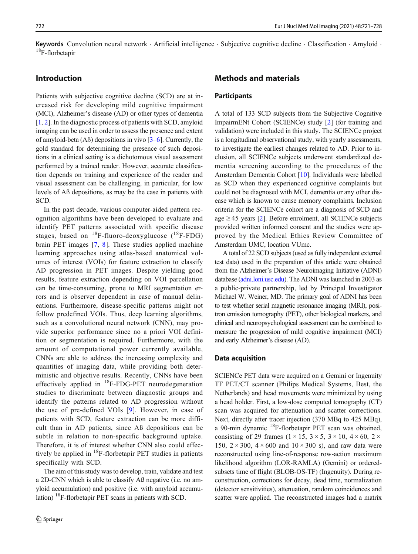Keywords Convolution neural network  $\cdot$  Artificial intelligence  $\cdot$  Subjective cognitive decline  $\cdot$  Classification  $\cdot$  Amyloid  $\cdot$ <sup>18</sup>F-florbetapir

# Introduction

Patients with subjective cognitive decline (SCD) are at increased risk for developing mild cognitive impairment (MCI), Alzheimer's disease (AD) or other types of dementia [\[1](#page-6-0), [2](#page-6-0)]. In the diagnostic process of patients with SCD, amyloid imaging can be used in order to assess the presence and extent of amyloid-beta (Aß) depositions in vivo [\[3](#page-7-0)–[6](#page-7-0)]. Currently, the gold standard for determining the presence of such depositions in a clinical setting is a dichotomous visual assessment performed by a trained reader. However, accurate classification depends on training and experience of the reader and visual assessment can be challenging, in particular, for low levels of Aß depositions, as may be the case in patients with SCD.

In the past decade, various computer-aided pattern recognition algorithms have been developed to evaluate and identify PET patterns associated with specific disease stages, based on  $^{18}$ F-fluoro-deoxyglucose ( $^{18}$ F-FDG) brain PET images [[7,](#page-7-0) [8\]](#page-7-0). These studies applied machine learning approaches using atlas-based anatomical volumes of interest (VOIs) for feature extraction to classify AD progression in PET images. Despite yielding good results, feature extraction depending on VOI parcellation can be time-consuming, prone to MRI segmentation errors and is observer dependent in case of manual delineations. Furthermore, disease-specific patterns might not follow predefined VOIs. Thus, deep learning algorithms, such as a convolutional neural network (CNN), may provide superior performance since no a priori VOI definition or segmentation is required. Furthermore, with the amount of computational power currently available, CNNs are able to address the increasing complexity and quantities of imaging data, while providing both deterministic and objective results. Recently, CNNs have been effectively applied in <sup>18</sup>F-FDG-PET neurodegeneration studies to discriminate between diagnostic groups and identify the patterns related to AD progression without the use of pre-defined VOIs [[9\]](#page-7-0). However, in case of patients with SCD, feature extraction can be more difficult than in AD patients, since Aß depositions can be subtle in relation to non-specific background uptake. Therefore, it is of interest whether CNN also could effectively be applied in  $^{18}$ F-florbetapir PET studies in patients specifically with SCD.

The aim of this study was to develop, train, validate and test a 2D-CNN which is able to classify Aß negative (i.e. no amyloid accumulation) and positive (i.e. with amyloid accumulation)  $18F$ -florbetapir PET scans in patients with SCD.

## Methods and materials

#### **Participants**

A total of 133 SCD subjects from the Subjective Cognitive ImpairmENt Cohort (SCIENCe) study [[2](#page-6-0)] (for training and validation) were included in this study. The SCIENCe project is a longitudinal observational study, with yearly assessments, to investigate the earliest changes related to AD. Prior to inclusion, all SCIENCe subjects underwent standardized dementia screening according to the procedures of the Amsterdam Dementia Cohort [[10](#page-7-0)]. Individuals were labelled as SCD when they experienced cognitive complaints but could not be diagnosed with MCI, dementia or any other disease which is known to cause memory complaints. Inclusion criteria for the SCIENCe cohort are a diagnosis of SCD and age  $\geq$  45 years [\[2\]](#page-6-0). Before enrolment, all SCIENCe subjects provided written informed consent and the studies were approved by the Medical Ethics Review Committee of Amsterdam UMC, location VUmc.

A total of 22 SCD subjects (used as fully independent external test data) used in the preparation of this article were obtained from the Alzheimer's Disease Neuroimaging Initiative (ADNI) database [\(adni.loni.usc.edu](http://adni.loni.usc.edu)). The ADNI was launched in 2003 as a public-private partnership, led by Principal Investigator Michael W. Weiner, MD. The primary goal of ADNI has been to test whether serial magnetic resonance imaging (MRI), positron emission tomography (PET), other biological markers, and clinical and neuropsychological assessment can be combined to measure the progression of mild cognitive impairment (MCI) and early Alzheimer's disease (AD).

#### Data acquisition

SCIENCe PET data were acquired on a Gemini or Ingenuity TF PET/CT scanner (Philips Medical Systems, Best, the Netherlands) and head movements were minimized by using a head holder. First, a low-dose computed tomography (CT) scan was acquired for attenuation and scatter corrections. Next, directly after tracer injection (370 MBq to 425 MBq), a 90-min dynamic 18F-florbetapir PET scan was obtained, consisting of 29 frames  $(1 \times 15, 3 \times 5, 3 \times 10, 4 \times 60, 2 \times$ 150,  $2 \times 300$ ,  $4 \times 600$  and  $10 \times 300$  s), and raw data were reconstructed using line-of-response row-action maximum likelihood algorithm (LOR-RAMLA) (Gemini) or orderedsubsets time of flight (BLOB-OS-TF) (Ingenuity). During reconstruction, corrections for decay, dead time, normalization (detector sensitivities), attenuation, random coincidences and scatter were applied. The reconstructed images had a matrix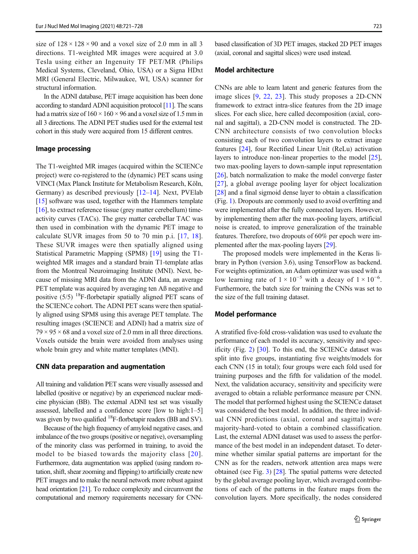size of  $128 \times 128 \times 90$  and a voxel size of 2.0 mm in all 3 directions. T1-weighted MR images were acquired at 3.0 Tesla using either an Ingenuity TF PET/MR (Philips Medical Systems, Cleveland, Ohio, USA) or a Signa HDxt MRI (General Electric, Milwaukee, WI, USA) scanner for structural information.

In the ADNI database, PET image acquisition has been done according to standard ADNI acquisition protocol [[11\]](#page-7-0). The scans had a matrix size of  $160 \times 160 \times 96$  and a voxel size of 1.5 mm in all 3 directions. The ADNI PET studies used for the external test cohort in this study were acquired from 15 different centres.

#### Image processing

The T1-weighted MR images (acquired within the SCIENCe project) were co-registered to the (dynamic) PET scans using VINCI (Max Planck Institute for Metabolism Research, Köln, Germany) as described previously [[12](#page-7-0)–[14](#page-7-0)]. Next, PVElab [\[15\]](#page-7-0) software was used, together with the Hammers template [\[16\]](#page-7-0), to extract reference tissue (grey matter cerebellum) timeactivity curves (TACs). The grey matter cerebellar TAC was then used in combination with the dynamic PET image to calculate SUVR images from 50 to 70 min p.i. [[17,](#page-7-0) [18](#page-7-0)]. These SUVR images were then spatially aligned using Statistical Parametric Mapping (SPM8) [\[19](#page-7-0)] using the T1 weighted MR images and a standard brain T1-template atlas from the Montreal Neuroimaging Institute (MNI). Next, because of missing MRI data from the ADNI data, an average PET template was acquired by averaging ten Aß negative and positive  $(5/5)$  <sup>18</sup>F-florbetapir spatially aligned PET scans of the SCIENCe cohort. The ADNI PET scans were then spatially aligned using SPM8 using this average PET template. The resulting images (SCIENCE and ADNI) had a matrix size of  $79 \times 95 \times 68$  and a voxel size of 2.0 mm in all three directions. Voxels outside the brain were avoided from analyses using whole brain grey and white matter templates (MNI).

#### CNN data preparation and augmentation

All training and validation PET scans were visually assessed and labelled (positive or negative) by an experienced nuclear medicine physician (BB). The external ADNI test set was visually assessed, labelled and a confidence score [low to high:1–5] was given by two qualified <sup>18</sup>F-florbetapir readers (BB and SV).

Because of the high frequency of amyloid negative cases, and imbalance of the two groups (positive or negative), oversampling of the minority class was performed in training, to avoid the model to be biased towards the majority class [[20\]](#page-7-0). Furthermore, data augmentation was applied (using random rotation, shift, shear zooming and flipping) to artificially create new PET images and to make the neural network more robust against head orientation [\[21\]](#page-7-0). To reduce complexity and circumvent the computational and memory requirements necessary for CNN-

based classification of 3D PET images, stacked 2D PET images (axial, coronal and sagittal slices) were used instead.

## Model architecture

CNNs are able to learn latent and generic features from the image slices [[9](#page-7-0), [22,](#page-7-0) [23](#page-7-0)]. This study proposes a 2D-CNN framework to extract intra-slice features from the 2D image slices. For each slice, here called decomposition (axial, coronal and sagittal), a 2D-CNN model is constructed. The 2D-CNN architecture consists of two convolution blocks consisting each of two convolution layers to extract image features [[24\]](#page-7-0), four Rectified Linear Unit (ReLu) activation layers to introduce non-linear properties to the model [[25\]](#page-7-0), two max-pooling layers to down-sample input representation [\[26](#page-7-0)], batch normalization to make the model converge faster [\[27](#page-7-0)], a global average pooling layer for object localization [\[28](#page-7-0)] and a final sigmoid dense layer to obtain a classification (Fig. [1](#page-3-0)). Dropouts are commonly used to avoid overfitting and were implemented after the fully connected layers. However, by implementing them after the max-pooling layers, artificial noise is created, to improve generalization of the trainable features. Therefore, two dropouts of 60% per epoch were implemented after the max-pooling layers [[29](#page-7-0)].

The proposed models were implemented in the Keras library in Python (version 3.6), using TensorFlow as backend. For weights optimization, an Adam optimizer was used with a low learning rate of  $1 \times 10^{-5}$  with a decay of  $1 \times 10^{-6}$ . Furthermore, the batch size for training the CNNs was set to the size of the full training dataset.

## Model performance

A stratified five-fold cross-validation was used to evaluate the performance of each model its accuracy, sensitivity and specificity (Fig. [2\)](#page-3-0) [\[30](#page-7-0)]. To this end, the SCIENCe dataset was split into five groups, instantiating five weights/models for each CNN (15 in total); four groups were each fold used for training purposes and the fifth for validation of the model. Next, the validation accuracy, sensitivity and specificity were averaged to obtain a reliable performance measure per CNN. The model that performed highest using the SCIENCe dataset was considered the best model. In addition, the three individual CNN predictions (axial, coronal and sagittal) were majority-hard-voted to obtain a combined classification. Last, the external ADNI dataset was used to assess the performance of the best model in an independent dataset. To determine whether similar spatial patterns are important for the CNN as for the readers, network attention area maps were obtained (see Fig. [3\)](#page-4-0) [\[28\]](#page-7-0). The spatial patterns were detected by the global average pooling layer, which averaged contributions of each of the patterns in the feature maps from the convolution layers. More specifically, the nodes considered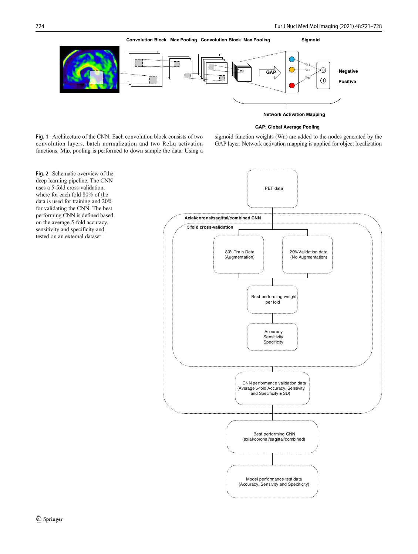<span id="page-3-0"></span>

#### **GAP: Global Average Pooling**

Fig. 1 Architecture of the CNN. Each convolution block consists of two convolution layers, batch normalization and two ReLu activation functions. Max pooling is performed to down sample the data. Using a sigmoid function weights (Wn) are added to the nodes generated by the GAP layer. Network activation mapping is applied for object localization



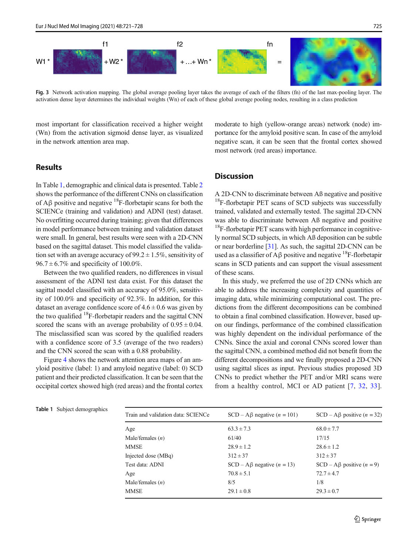<span id="page-4-0"></span>W1 \*  $\frac{1}{2}$  , we have  $\frac{1}{2}$  + W2 \*  $\frac{1}{2}$  +  $\frac{1}{2}$  +  $\frac{1}{2}$  +  $\frac{1}{2}$  +  $\frac{1}{2}$  +  $\frac{1}{2}$  +  $\frac{1}{2}$  +  $\frac{1}{2}$  +  $\frac{1}{2}$  +  $\frac{1}{2}$  +  $\frac{1}{2}$  +  $\frac{1}{2}$  +  $\frac{1}{2}$  +  $\frac{1}{2}$  +  $\frac{1}{2}$  + f1 f2 fn

Fig. 3 Network activation mapping. The global average pooling layer takes the average of each of the filters (fn) of the last max-pooling layer. The activation dense layer determines the individual weights (Wn) of each of these global average pooling nodes, resulting in a class prediction

most important for classification received a higher weight (Wn) from the activation sigmoid dense layer, as visualized in the network attention area map.

# **Results**

In Table 1, demographic and clinical data is presented. Table [2](#page-5-0) shows the performance of the different CNNs on classification of  $A\beta$  positive and negative <sup>18</sup>F-florbetapir scans for both the SCIENCe (training and validation) and ADNI (test) dataset. No overfitting occurred during training; given that differences in model performance between training and validation dataset were small. In general, best results were seen with a 2D-CNN based on the sagittal dataset. This model classified the validation set with an average accuracy of 99.2  $\pm$  1.5%, sensitivity of  $96.7 \pm 6.7\%$  and specificity of 100.0%.

Between the two qualified readers, no differences in visual assessment of the ADNI test data exist. For this dataset the sagittal model classified with an accuracy of 95.0%, sensitivity of 100.0% and specificity of 92.3%. In addition, for this dataset an average confidence score of  $4.6 \pm 0.6$  was given by the two qualified  $^{18}F$ -florbetapir readers and the sagittal CNN scored the scans with an average probability of  $0.95 \pm 0.04$ . The misclassified scan was scored by the qualified readers with a confidence score of 3.5 (average of the two readers) and the CNN scored the scan with a 0.88 probability.

Figure [4](#page-5-0) shows the network attention area maps of an amyloid positive (label: 1) and amyloid negative (label: 0) SCD patient and their predicted classification. It can be seen that the occipital cortex showed high (red areas) and the frontal cortex moderate to high (yellow-orange areas) network (node) importance for the amyloid positive scan. In case of the amyloid negative scan, it can be seen that the frontal cortex showed most network (red areas) importance.

# **Discussion**

A 2D-CNN to discriminate between Aß negative and positive  $18$ F-florbetapir PET scans of SCD subjects was successfully trained, validated and externally tested. The sagittal 2D-CNN was able to discriminate between Aß negative and positive <sup>18</sup>F-florbetapir PET scans with high performance in cognitively normal SCD subjects, in which Aß deposition can be subtle or near borderline [\[31](#page-7-0)]. As such, the sagittal 2D-CNN can be used as a classifier of A $\beta$  positive and negative <sup>18</sup>F-florbetapir scans in SCD patients and can support the visual assessment of these scans.

In this study, we preferred the use of 2D CNNs which are able to address the increasing complexity and quantities of imaging data, while minimizing computational cost. The predictions from the different decompositions can be combined to obtain a final combined classification. However, based upon our findings, performance of the combined classification was highly dependent on the individual performance of the CNNs. Since the axial and coronal CNNs scored lower than the sagittal CNN, a combined method did not benefit from the different decompositions and we finally proposed a 2D-CNN using sagittal slices as input. Previous studies proposed 3D CNNs to predict whether the PET and/or MRI scans were from a healthy control, MCI or AD patient [[7](#page-7-0), [32](#page-7-0), [33](#page-7-0)].

| Table 1 Subject demographics |  |
|------------------------------|--|
|------------------------------|--|

Train and validation data: SCIENCe  $SCD - A\beta$  negative (n = 101)  $SCD - A\beta$  positive (n = 32) Age 63.3  $\pm$  7.3 68.0  $\pm$  7.7 Male/females (*n*) 61/40 17/15 MMSE  $28.9 \pm 1.2$   $28.6 \pm 1.2$ Injected dose (MBq)  $312 \pm 37$   $312 \pm 37$   $312 \pm 37$ Test data: ADNI  $SCD - A\beta$  negative  $(n = 13)$   $SCD - A\beta$  positive  $(n = 9)$ Age  $70.8 \pm 5.1$   $72.7 \pm 4.7$ Male/females  $(n)$  8/5 1/8 MMSE  $29.1 \pm 0.8$   $29.3 \pm 0.7$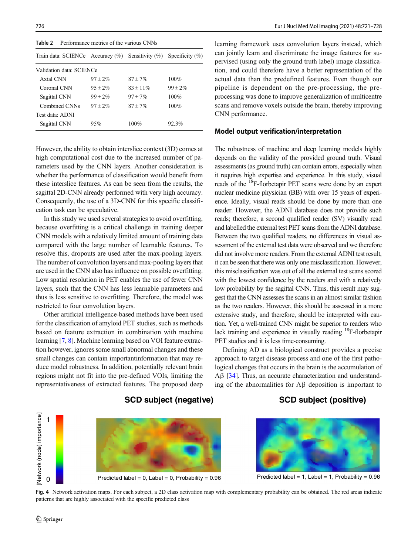<span id="page-5-0"></span>

| Performance metrics of the various CNNs<br>Table 2 |               |                                                                           |  |
|----------------------------------------------------|---------------|---------------------------------------------------------------------------|--|
|                                                    |               |                                                                           |  |
| Validation data: SCIENCe                           |               |                                                                           |  |
| $97 \pm 2\%$                                       | $87 \pm 7\%$  | $100\%$                                                                   |  |
| $95 \pm 2\%$                                       | $83 \pm 11\%$ | $99 \pm 2\%$                                                              |  |
| $99 \pm 2\%$                                       | $97 \pm 7\%$  | 100%                                                                      |  |
| $97 \pm 2\%$                                       | $87 + 7\%$    | $100\%$                                                                   |  |
|                                                    |               |                                                                           |  |
| 95%                                                | $100\%$       | 92.3%                                                                     |  |
|                                                    |               | Train data: SCIENCe Accuracy $(\%)$ Sensitivity $(\%)$ Specificity $(\%)$ |  |

However, the ability to obtain interslice context (3D) comes at high computational cost due to the increased number of parameters used by the CNN layers. Another consideration is whether the performance of classification would benefit from these interslice features. As can be seen from the results, the sagittal 2D-CNN already performed with very high accuracy. Consequently, the use of a 3D-CNN for this specific classification task can be speculative.

In this study we used several strategies to avoid overfitting, because overfitting is a critical challenge in training deeper CNN models with a relatively limited amount of training data compared with the large number of learnable features. To resolve this, dropouts are used after the max-pooling layers. The number of convolution layers and max-pooling layers that are used in the CNN also has influence on possible overfitting. Low spatial resolution in PET enables the use of fewer CNN layers, such that the CNN has less learnable parameters and thus is less sensitive to overfitting. Therefore, the model was restricted to four convolution layers.

Other artificial intelligence-based methods have been used for the classification of amyloid PET studies, such as methods based on feature extraction in combination with machine learning [[7,](#page-7-0) [8\]](#page-7-0). Machine learning based on VOI feature extraction however, ignores some small abnormal changes and these small changes can contain importantinformation that may reduce model robustness. In addition, potentially relevant brain regions might not fit into the pre-defined VOIs, limiting the representativeness of extracted features. The proposed deep

learning framework uses convolution layers instead, which can jointly learn and discriminate the image features for supervised (using only the ground truth label) image classification, and could therefore have a better representation of the actual data than the predefined features. Even though our pipeline is dependent on the pre-processing, the preprocessing was done to improve generalization of multicentre scans and remove voxels outside the brain, thereby improving CNN performance.

#### Model output verification/interpretation

The robustness of machine and deep learning models highly depends on the validity of the provided ground truth. Visual assessments (as ground truth) can contain errors, especially when it requires high expertise and experience. In this study, visual reads of the 18F-florbetapir PET scans were done by an expert nuclear medicine physician (BB) with over 15 years of experience. Ideally, visual reads should be done by more than one reader. However, the ADNI database does not provide such reads; therefore, a second qualified reader (SV) visually read and labelled the external test PET scans from the ADNI database. Between the two qualified readers, no differences in visual assessment of the external test data were observed and we therefore did not involve more readers. From the external ADNI test result, it can be seen that there was only one misclassification. However, this misclassification was out of all the external test scans scored with the lowest confidence by the readers and with a relatively low probability by the sagittal CNN. Thus, this result may suggest that the CNN assesses the scans in an almost similar fashion as the two readers. However, this should be assessed in a more extensive study, and therefore, should be interpreted with caution. Yet, a well-trained CNN might be superior to readers who lack training and experience in visually reading 18F-florbetapir PET studies and it is less time-consuming.

Defining AD as a biological construct provides a precise approach to target disease process and one of the first pathological changes that occurs in the brain is the accumulation of Aβ [\[34\]](#page-7-0). Thus, an accurate characterization and understanding of the abnormalities for Aβ deposition is important to

# **SCD subject (positive)**



**SCD subject (negative)**

Fig. 4 Network activation maps. For each subject, a 2D class activation map with complementary probability can be obtained. The red areas indicate patterns that are highly associated with the specific predicted class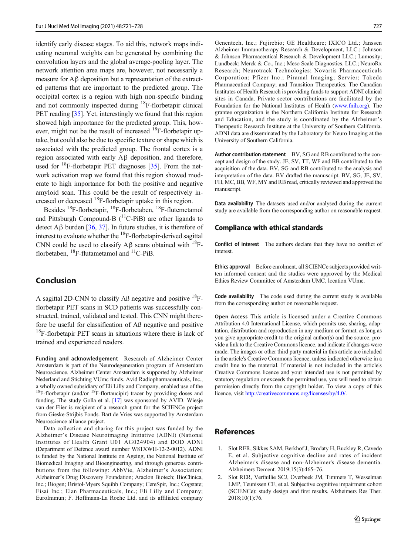<span id="page-6-0"></span>identify early disease stages. To aid this, network maps indicating neuronal weights can be generated by combining the convolution layers and the global average-pooling layer. The network attention area maps are, however, not necessarily a measure for Aβ deposition but a representation of the extracted patterns that are important to the predicted group. The occipital cortex is a region with high non-specific binding and not commonly inspected during <sup>18</sup>F-florbetapir clinical PET reading [\[35](#page-7-0)]. Yet, interestingly we found that this region showed high importance for the predicted group. This, however, might not be the result of increased  $^{18}$ F-florbetapir uptake, but could also be due to specific texture or shape which is associated with the predicted group. The frontal cortex is a region associated with early Aβ deposition, and therefore, used for  $^{18}$ F-florbetapir PET diagnoses [\[35](#page-7-0)]. From the network activation map we found that this region showed moderate to high importance for both the positive and negative amyloid scan. This could be the result of respectively increased or decreased <sup>18</sup>F-florbetapir uptake in this region.

Besides 18F-florbetapir, 18F-florbetaben, 18F-flutemetamol and Pittsburgh Compound-B  $(^{11}C-PiB)$  are other ligands to detect Aβ burden [[36](#page-7-0), [37](#page-7-0)]. In future studies, it is therefore of interest to evaluate whether the <sup>18</sup>F-florbetapir-derived sagittal CNN could be used to classify  $A\beta$  scans obtained with <sup>18</sup>Fflorbetaben,  $^{18}$ F-flutametamol and  $^{11}$ C-PiB.

## Conclusion

A sagittal 2D-CNN to classify AB negative and positive  $^{18}$ Fflorbetapir PET scans in SCD patients was successfully constructed, trained, validated and tested. This CNN might therefore be useful for classification of Aß negative and positive  $18$ F-florbetapir PET scans in situations where there is lack of trained and experienced readers.

Funding and acknowledgement Research of Alzheimer Center Amsterdam is part of the Neurodegeneration program of Amsterdam Neuroscience. Alzheimer Center Amsterdam is supported by Alzheimer Nederland and Stichting VUmc funds. Avid Radiopharmaceuticals, Inc., a wholly owned subsidiary of Eli Lilly and Company, enabled use of the  $18F$ -florbetapir (and/or  $18F$ -flortaucipir) tracer by providing doses and funding. The study Golla et al. [[17\]](#page-7-0) was sponsored by AVID. Wiesje van der Flier is recipient of a research grant for the SCIENCe project from Gieske-Strijbis Fonds. Bart de Vries was supported by Amsterdam Neuroscience alliance project.

Data collection and sharing for this project was funded by the Alzheimer's Disease Neuroimaging Initiative (ADNI) (National Institutes of Health Grant U01 AG024904) and DOD ADNI (Department of Defence award number W81XWH-12-2-0012). ADNI is funded by the National Institute on Ageing, the National Institute of Biomedical Imaging and Bioengineering, and through generous contributions from the following: AbbVie, Alzheimer's Association; Alzheimer's Drug Discovery Foundation; Araclon Biotech; BioClinica, Inc.; Biogen; Bristol-Myers Squibb Company; CereSpir, Inc.; Cogstate; Eisai Inc.; Elan Pharmaceuticals, Inc.; Eli Lilly and Company; EuroImmun; F. Hoffmann-La Roche Ltd. and its affiliated company

Genentech, Inc.; Fujirebio; GE Healthcare; IXICO Ltd.; Janssen Alzheimer Immunotherapy Research & Development, LLC.; Johnson & Johnson Pharmaceutical Research & Development LLC.; Lumosity; Lundbeck; Merck & Co., Inc.; Meso Scale Diagnostics, LLC.; NeuroRx Research; Neurotrack Technologies; Novartis Pharmaceuticals Corporation; Pfizer Inc.; Piramal Imaging; Servier; Takeda Pharmaceutical Company; and Transition Therapeutics. The Canadian Institutes of Health Research is providing funds to support ADNI clinical sites in Canada. Private sector contributions are facilitated by the Foundation for the National Institutes of Health ([www.fnih.org](http://www.fnih.org)). The grantee organization is the Northern California Institute for Research and Education, and the study is coordinated by the Alzheimer's Therapeutic Research Institute at the University of Southern California. ADNI data are disseminated by the Laboratory for Neuro Imaging at the University of Southern California.

Author contribution statement BV, SG and RB contributed to the concept and design of the study. JE, SV, TT, WF and BB contributed to the acquisition of the data. BV, SG and RB contributed to the analysis and interpretation of the data. BV drafted the manuscript. BV, SG, JE, SV, FH, MC, BB, WF, MY and RB read, critically reviewed and approved the manuscript.

Data availability The datasets used and/or analysed during the current study are available from the corresponding author on reasonable request.

#### Compliance with ethical standards

Conflict of interest The authors declare that they have no conflict of interest.

Ethics approval Before enrolment, all SCIENCe subjects provided written informed consent and the studies were approved by the Medical Ethics Review Committee of Amsterdam UMC, location VUmc.

Code availability The code used during the current study is available from the corresponding author on reasonable request.

Open Access This article is licensed under a Creative Commons Attribution 4.0 International License, which permits use, sharing, adaptation, distribution and reproduction in any medium or format, as long as you give appropriate credit to the original author(s) and the source, provide a link to the Creative Commons licence, and indicate if changes were made. The images or other third party material in this article are included in the article's Creative Commons licence, unless indicated otherwise in a credit line to the material. If material is not included in the article's Creative Commons licence and your intended use is not permitted by statutory regulation or exceeds the permitted use, you will need to obtain permission directly from the copyright holder. To view a copy of this licence, visit [http://creativecommons.org/licenses/by/4.0/](https://doi.org/).

# References

- 1. Slot RER, Sikkes SAM, Berkhof J, Brodaty H, Buckley R, Cavedo E, et al. Subjective cognitive decline and rates of incident Alzheimer's disease and non-Alzheimer's disease dementia. Alzheimers Dement. 2019;15(3):465–76.
- 2. Slot RER, Verfaillie SCJ, Overbeek JM, Timmers T, Wesselman LMP, Teunissen CE, et al. Subjective cognitive impairment cohort (SCIENCe): study design and first results. Alzheimers Res Ther. 2018;10(1):76.